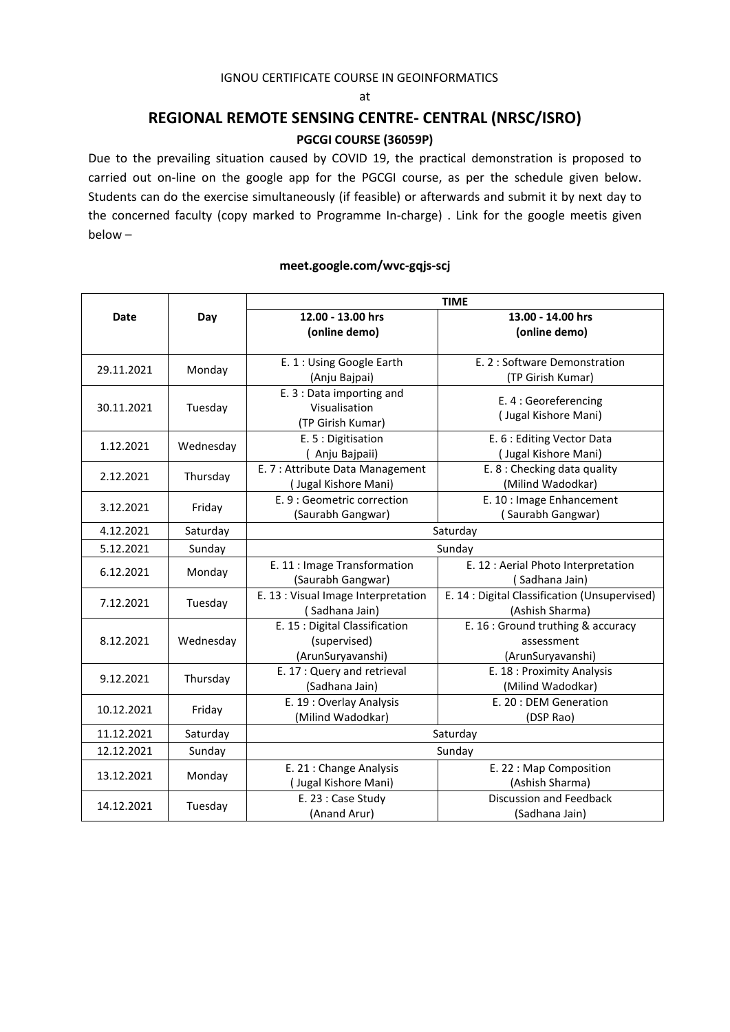### IGNOU CERTIFICATE COURSE IN GEOINFORMATICS

#### at

## **REGIONAL REMOTE SENSING CENTRE- CENTRAL (NRSC/ISRO) PGCGI COURSE (36059P)**

Due to the prevailing situation caused by COVID 19, the practical demonstration is proposed to carried out on-line on the google app for the PGCGI course, as per the schedule given below. Students can do the exercise simultaneously (if feasible) or afterwards and submit it by next day to the concerned faculty (copy marked to Programme In-charge) . Link for the google meetis given below –

|             | Day       | <b>TIME</b>                         |                                               |  |
|-------------|-----------|-------------------------------------|-----------------------------------------------|--|
| <b>Date</b> |           | 12.00 - 13.00 hrs                   | 13.00 - 14.00 hrs                             |  |
|             |           | (online demo)                       | (online demo)                                 |  |
| 29.11.2021  | Monday    | E. 1 : Using Google Earth           | E. 2 : Software Demonstration                 |  |
|             |           | (Anju Bajpai)                       | (TP Girish Kumar)                             |  |
| 30.11.2021  | Tuesday   | E. 3 : Data importing and           | E. 4 : Georeferencing                         |  |
|             |           | Visualisation                       | (Jugal Kishore Mani)                          |  |
|             |           | (TP Girish Kumar)                   |                                               |  |
| 1.12.2021   | Wednesday | E. 5 : Digitisation                 | E. 6 : Editing Vector Data                    |  |
|             |           | (Anju Bajpaii)                      | (Jugal Kishore Mani)                          |  |
| 2.12.2021   | Thursday  | E. 7 : Attribute Data Management    | E. 8 : Checking data quality                  |  |
|             |           | (Jugal Kishore Mani)                | (Milind Wadodkar)                             |  |
| 3.12.2021   | Friday    | E. 9 : Geometric correction         | E. 10 : Image Enhancement                     |  |
|             |           | (Saurabh Gangwar)                   | (Saurabh Gangwar)                             |  |
| 4.12.2021   | Saturday  | Saturday                            |                                               |  |
| 5.12.2021   | Sunday    | Sunday                              |                                               |  |
| 6.12.2021   | Monday    | E. 11 : Image Transformation        | E. 12 : Aerial Photo Interpretation           |  |
|             |           | (Saurabh Gangwar)                   | (Sadhana Jain)                                |  |
| 7.12.2021   | Tuesday   | E. 13 : Visual Image Interpretation | E. 14 : Digital Classification (Unsupervised) |  |
|             |           | (Sadhana Jain)                      | (Ashish Sharma)                               |  |
| 8.12.2021   | Wednesday | E. 15 : Digital Classification      | E. 16 : Ground truthing & accuracy            |  |
|             |           | (supervised)                        | assessment                                    |  |
|             |           | (ArunSuryavanshi)                   | (ArunSuryavanshi)                             |  |
| 9.12.2021   | Thursday  | E. 17: Query and retrieval          | E. 18 : Proximity Analysis                    |  |
|             |           | (Sadhana Jain)                      | (Milind Wadodkar)                             |  |
| 10.12.2021  | Friday    | E. 19: Overlay Analysis             | E. 20: DEM Generation                         |  |
|             |           | (Milind Wadodkar)                   | (DSP Rao)                                     |  |
| 11.12.2021  | Saturday  | Saturday                            |                                               |  |
| 12.12.2021  | Sunday    | Sunday                              |                                               |  |
| 13.12.2021  | Monday    | E. 21 : Change Analysis             | E. 22 : Map Composition                       |  |
|             |           | (Jugal Kishore Mani)                | (Ashish Sharma)                               |  |
| 14.12.2021  | Tuesday   | E. 23 : Case Study                  | <b>Discussion and Feedback</b>                |  |
|             |           | (Anand Arur)                        | (Sadhana Jain)                                |  |

### **meet.google.com/wvc-gqjs-scj**